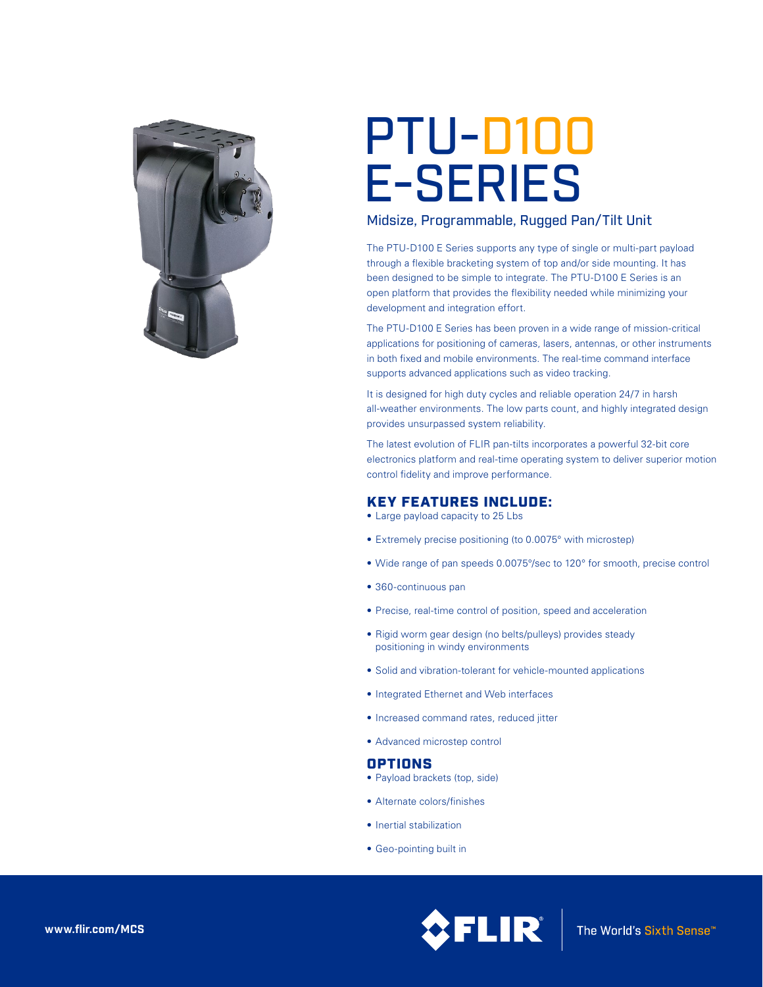

# PTU-D100 E-SERIES

## Midsize, Programmable, Rugged Pan/Tilt Unit

The PTU-D100 E Series supports any type of single or multi-part payload through a flexible bracketing system of top and/or side mounting. It has been designed to be simple to integrate. The PTU-D100 E Series is an open platform that provides the flexibility needed while minimizing your development and integration effort.

The PTU-D100 E Series has been proven in a wide range of mission-critical applications for positioning of cameras, lasers, antennas, or other instruments in both fixed and mobile environments. The real-time command interface supports advanced applications such as video tracking.

It is designed for high duty cycles and reliable operation 24/7 in harsh all-weather environments. The low parts count, and highly integrated design provides unsurpassed system reliability.

The latest evolution of FLIR pan-tilts incorporates a powerful 32-bit core electronics platform and real-time operating system to deliver superior motion control fidelity and improve performance.

## KEY FEATURES INCLUDE:

- Large payload capacity to 25 Lbs
- Extremely precise positioning (to 0.0075° with microstep)
- Wide range of pan speeds 0.0075°/sec to 120° for smooth, precise control
- 360-continuous pan
- • Precise, real-time control of position, speed and acceleration
- Rigid worm gear design (no belts/pulleys) provides steady positioning in windy environments
- Solid and vibration-tolerant for vehicle-mounted applications
- • Integrated Ethernet and Web interfaces
- Increased command rates, reduced jitter
- • Advanced microstep control

### OPTIONS

- Payload brackets (top, side)
- • Alternate colors/finishes
- Inertial stabilization
- Geo-pointing built in